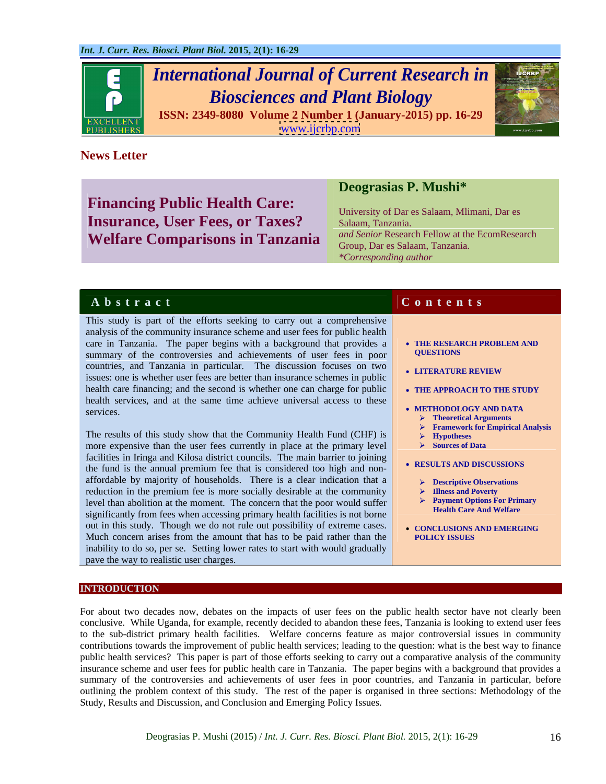

# *International Journal of Current Research in Biosciences and Plant Biology*



**ISSN: 2349-8080 Volume 2 Number 1 (January-2015) pp. 16-29** [www.ijcrbp.com](http://www.ijcrbp.com)

# **News Letter**

**Financing Public Health Care: Insurance, User Fees, or Taxes?** Salaam, Tanzania. **Welfare Comparisons in Tanzania**

# **Deograsias P. Mushi\***

University of Dar es Salaam, Mlimani, Dar es Salaam, Tanzania. *and Senior* Research Fellow at the EcomResearch Group, Dar es Salaam, Tanzania. *\*Corresponding author*

# **A b s t r a c t C o n t e n t s**

This study is part of the efforts seeking to carry out a comprehensive analysis of the community insurance scheme and user fees for public health care in Tanzania. The paper begins with a background that provides a **CALC TEREST TERESTAN** SUMMARY of the controversies and achievements of user fees in poor summary of the controversies and achievements of user fees in poor countries, and Tanzania in particular. The discussion focuses on two **LITERATURE REVIEW** issues: one is whether user fees are better than insurance schemes in public health care financing; and the second is whether one can charge for public  $\bullet$  THE APPROACH TO THE STUDY health services, and at the same time achieve universal access to these **EXECUTE:** METHODOLOGY AND DATA services. The contract of the contract of the contract of the contract of the contract of the contract of the contract of the contract of the contract of the contract of the contract of the contract of the contract of the

The results of this study show that the Community Health Fund (CHF) is  $\rightarrow$  Hypotheses more expensive than the user fees currently in place at the primary level  $\rightarrow$  Sources of Data facilities in Iringa and Kilosa district councils. The main barrier to joining <br>the final is the spanial paramium for that is considered too high and new **RESULTS AND DISCUSSIONS** the fund is the annual premium fee that is considered too high and nonaffordable by majority of households. There is a clear indication that a  $\Box$  > Descriptive Observations reduction in the premium fee is more socially desirable at the community  $\triangleright$  Illness and Poverty level than abolition at the moment. The concern that the poor would suffer  $\overrightarrow{P}$  Payment Options For Prince is a strong to the poor would suffer significantly from fees when accessing primary health facilities is not borne out in this study. Though we do not rule out possibility of extreme cases.<br>Much concern arises from the amount that has to be paid rather than the **POLICY ISSUES** inability to do so, per se. Setting lower rates to start with would gradually pave the way to realistic user charges.

- **THE RESEARCH PROBLEM AND QUESTIONS**
- **LITERATURE REVIEW**
- **THE APPROACH TO THE STUDY**
- **METHODOLOGY AND DATA**
	- **Theoretical Arguments**
		- **Framework for Empirical Analysis**
		- **Hypotheses**
		- **Sources of Data**
- **RESULTS AND DISCUSSIONS**
	- **Descriptive Observations**
	- **Illness and Poverty**
	- **Payment Options For Primary Health Care And Welfare**
- **CONCLUSIONS AND EMERGING POLICY ISSUES**

## **INTRODUCTION**

For about two decades now, debates on the impacts of user fees on the public health sector have not clearly been conclusive. While Uganda, for example, recently decided to abandon these fees, Tanzania is looking to extend user fees to the sub-district primary health facilities. Welfare concerns feature as major controversial issues in community contributions towards the improvement of public health services; leading to the question: what is the best way to finance public health services? This paper is part of those efforts seeking to carry out a comparative analysis of the community insurance scheme and user fees for public health care in Tanzania. The paper begins with a background that provides a summary of the controversies and achievements of user fees in poor countries, and Tanzania in particular, before outlining the problem context of this study. The rest of the paper is organised in three sections: Methodology of the Study, Results and Discussion, and Conclusion and Emerging Policy Issues.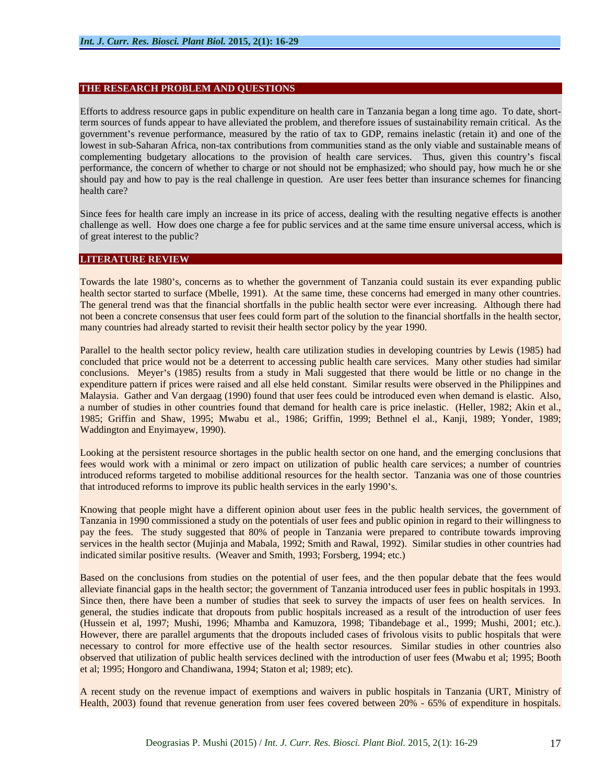#### **THE RESEARCH PROBLEM AND QUESTIONS**

Efforts to address resource gaps in public expenditure on health care in Tanzania began a long timeago. To date, shortterm sources of funds appear to have alleviated the problem, and therefore issues of sustainability remain critical. As the government's revenue performance, measured by the ratio of tax to GDP, remains inelastic (retain it) and one of the lowest in sub-Saharan Africa, non-tax contributions from communities stand as the only viable and sustainable means of complementing budgetary allocations to the provision of health care services. Thus, given this country's fiscal performance, the concern of whether to charge or not should not be emphasized; who should pay, how much he or she should pay and how to pay is the real challenge in question. Are user fees better than insurance schemes for financing health care? The contract of the contract of the contract of the contract of the contract of the contract of the contract of the contract of the contract of the contract of the contract of the contract of the contract of t

Since fees for health care imply an increase in its price of access, dealing with the resulting negative effects is another challenge as well. How does one charge a fee for public services and at the same time ensure universal access, which is of great interest to the public?

#### **LITERATURE REVIEW**

Towards the late 1980's, concerns as to whether the government of Tanzania could sustain its ever expanding public health sector started to surface (Mbelle, 1991). At the same time, these concerns had emerged in many other countries. The general trend was that the financial shortfalls in the public health sector were ever increasing. Although there had not been a concrete consensus that user fees could form part of the solution to the financial shortfalls in the health sector, many countries had already started to revisit their health sector policy by the year 1990.

Parallel to the health sector policy review, health care utilization studies in developing countries by Lewis (1985) had concluded that price would not be a deterrent to accessing public health care services. Many other studies had similar conclusions. Meyer's (1985) results from a study in Mali suggested that there would be little or no change in the expenditure pattern if prices were raised and all else held constant. Similar results were observed in the Philippines and Malaysia. Gather and Van dergaag (1990) found that user fees could be introduced even when demand is elastic. Also, a number of studies in other countries found that demand for health care is price inelastic. (Heller, 1982; Akin et al., 1985; Griffin and Shaw, 1995; Mwabu et al., 1986; Griffin, 1999; Bethnel el al., Kanji, 1989; Yonder, 1989; Waddington and Enyimayew, 1990).

Looking at the persistent resource shortages in the public health sector on one hand, and the emerging conclusions that fees would work with a minimal or zero impact on utilization of public health care services; a number of countries introduced reforms targeted to mobilise additional resources for the health sector. Tanzania was one of those countries that introduced reforms to improve its public health services in the early 1990's.

Knowing that people might have a different opinion about user fees in the public health services, the government of Tanzania in 1990 commissioned a study on the potentials of user fees and public opinion in regard to their willingness to pay the fees. The study suggested that 80% of people in Tanzania were prepared to contribute towards improving services in the health sector (Mujinja and Mabala, 1992; Smith and Rawal, 1992). Similar studies in other countries had indicated similar positive results. (Weaver and Smith, 1993; Forsberg, 1994; etc.)

Based on the conclusions from studies on the potential of user fees, and the then popular debate that the fees would alleviate financial gaps in the health sector; the government of Tanzania introduced user fees in public hospitals in 1993. Since then, there have been a number of studies that seek to survey the impacts of user fees on health services. In general, the studies indicate that dropouts from public hospitals increased as a result of the introduction of user fees (Hussein et al, 1997; Mushi, 1996; Mhamba and Kamuzora, 1998; Tibandebage et al., 1999; Mushi, 2001; etc.). However, there are parallel arguments that the dropouts included cases of frivolous visits to public hospitals that were necessary to control for more effective use of the health sector resources. Similar studies in other countries also observed that utilization of public health services declined with the introduction of user fees (Mwabu et al; 1995; Booth et al; 1995; Hongoro and Chandiwana, 1994; Staton et al; 1989; etc).

A recent study on the revenue impact of exemptions and waivers in public hospitals in Tanzania (URT, Ministry of Health, 2003) found that revenue generation from user fees covered between 20% - 65% of expenditure in hospitals.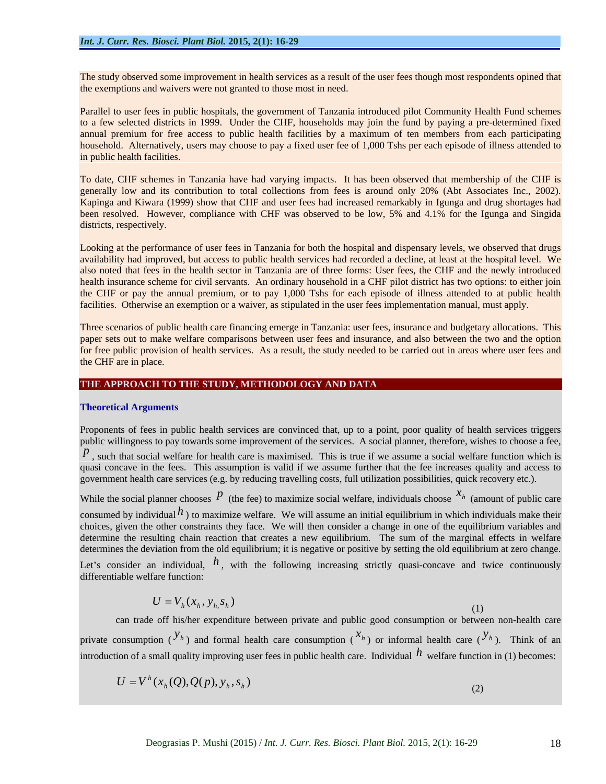The study observed some improvement in health services as a result of the user fees though most respondents opined that the exemptions and waivers were not granted to those most in need.

Parallel to user fees in public hospitals, the government of Tanzania introduced pilot Community Health Fund schemes to a few selected districts in 1999. Under the CHF, households may join the fund by paying a pre-determined fixed annual premium for free access to public health facilities by a maximum of ten members from each participating household. Alternatively, users may choose to pay a fixed user fee of 1,000 Tshs per each episode of illness attended to in public health facilities.

To date, CHF schemes in Tanzania have had varying impacts. It has been observed that membership of the CHF is generally low and its contribution to total collections from fees is around only 20% (Abt Associates Inc., 2002). Kapinga and Kiwara (1999) show that CHF and user fees had increased remarkably in Igunga and drug shortages had been resolved. However, compliance with CHF was observed to be low, 5% and 4.1% for the Igunga and Singida districts, respectively.

Looking at the performance of user fees in Tanzania for both the hospital and dispensary levels, we observed that drugs availability had improved, but access to public health services had recorded a decline, at least at the hospital level. We also noted that fees in the health sector in Tanzania are of three forms: User fees, the CHF and the newly introduced health insurance scheme for civil servants. An ordinary household in a CHF pilot district has two options: to either join the CHF or pay the annual premium, or to pay 1,000 Tshs for each episode of illness attended to at public health facilities. Otherwise an exemption or a waiver, as stipulated in the user fees implementation manual, must apply.

Three scenarios of public health care financing emerge in Tanzania: user fees, insurance and budgetary allocations. This paper sets out to make welfare comparisons between user fees and insurance, and also between the two and the option for free public provision of health services. As a result, the study needed to be carried outin areas where user fees and the CHF are in place.

#### **THE APPROACH TO THE STUDY, METHODOLOGY AND DATA**

#### **Theoretical Arguments**

Proponents of fees in public health services are convinced that, up to a point, poor quality of health services triggers public willingness to pay towards some improvement of the services. A social planner, therefore, wishes to choose a fee,

 $p$ , such that social welfare for health care is maximised. This is true if we assume a social welfare function which is quasi concave in the fees. This assumption is valid if we assume further that the fee increases quality and access to government health care services (e.g. by reducing travelling costs, full utilization possibilities, quick recovery etc.).

While the social planner chooses  $P$  (the fee) to maximize social welfare, individuals choose  $x_h$  (amount of public care  $x<sub>h</sub>$  (emount of public care) (amount of public care consumed by individual  $h$ ) to maximize welfare. We will assume an initial equilibrium in which individuals make their choices, given the other constraints they face. We will then consider a change in one of the equilibrium variables and determine the resulting chain reaction that creates a new equilibrium. The sum of the marginal effects in welfare determines the deviation from the old equilibrium; it is negative or positive by setting the old equilibrium at zero change.

Let's consider an individual,  $h$ , with the following increasing strictly quasi-concave and twice continuously differentiable welfare function:

$$
U = V_h(x_h, y_h, s_h) \tag{1}
$$

can trade off his/her expenditure between private and public good consumption or between non-health care private consumption  $({}^{y_h})$  and formal health care consumption  $({}^{x_h})$  or informal health care  $({}^{y_h})$ . Think of an  $y_{h}$  Think of an ). Think of an introduction of a small quality improving user fees in public health care. Individual  $h$  welfare function in (1) becomes:

$$
U = V^h(x_h(Q), Q(p), y_h, s_h)
$$
\n<sup>(2)</sup>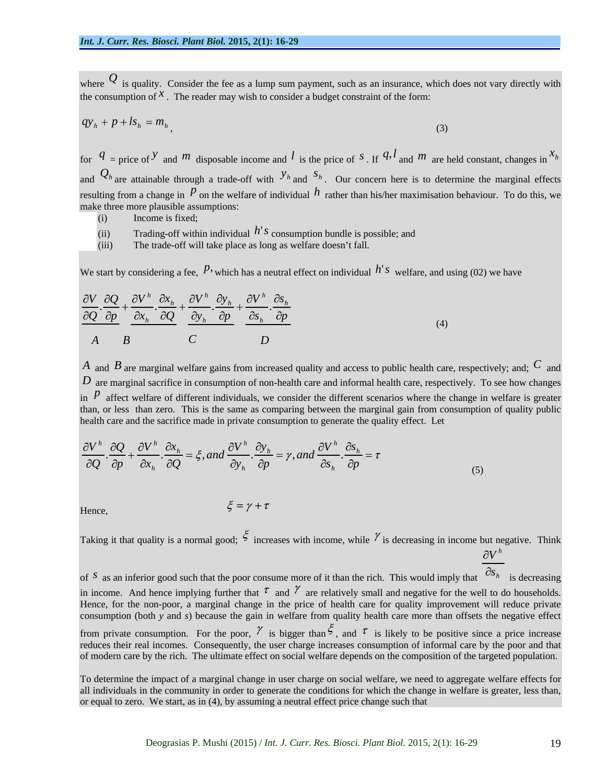where  $Q$  is quality. Consider the fee as a lump sum payment, such as an insurance, which does not vary directly with the consumption of  $x$ . The reader may wish to consider a budget constraint of the form:

$$
qy_h + p + ls_h = m_h \tag{3}
$$

for  $q =$  price of *y* and *m* disposable income and *l* is the price of *s*. If  $q$ , *l* and *m* are held constant, changes in  $x<sub>h</sub>$ *h*  $x<sub>h</sub>$ and  $Q_h$  are attainable through a trade-off with  $y_h$  and  $s_h$ . Our concern here is to determine the marginal effects resulting from a change in  $\overline{p}$  on the welfare of individual  $\overline{h}$  rather than his/her maximisation behaviour. To do this, we make three more plausible assumptions:

- (i) Income is fixed; the contract of the contract of the contract of the contract of the contract of the contract of the contract of the contract of the contract of the contract of the contract of the contract of the contr
- (ii) Trading-off within individual  $h<sup>'</sup>$ *s* consumption bundle is possible; and
- (iii) The trade-off will take place as long as welfare doesn't fall.

We start by considering a fee,  $P$ , which has a neutral effect on individual  $h$ <sup>'</sup> *s* welfare, and using (02) we have

$$
\frac{\partial V}{\partial Q} \cdot \frac{\partial Q}{\partial p} + \frac{\partial V^h}{\partial x_h} \cdot \frac{\partial x_h}{\partial Q} + \frac{\partial V^h}{\partial y_h} \cdot \frac{\partial y_h}{\partial p} + \frac{\partial V^h}{\partial s_h} \cdot \frac{\partial s_h}{\partial p}
$$
\n
$$
A \qquad B \qquad C \qquad D \qquad (4)
$$

*A* and *B* are marginal welfare gains from increased quality and access to public health care, respectively; and; *C* and *D* are marginal sacrifice in consumption of non-health care and informal health care, respectively. To see how changes in  $\overline{p}$  affect welfare of different individuals, we consider the different scenarios where the change in welfare is greater than, or less than zero. This is the same as comparing between the marginal gain from consumption of quality public health care and the sacrifice made in private consumption to generate the quality effect. Let

$$
\frac{\partial V^h}{\partial Q} \cdot \frac{\partial Q}{\partial p} + \frac{\partial V^h}{\partial x_h} \cdot \frac{\partial x_h}{\partial Q} = \xi, and \frac{\partial V^h}{\partial y_h} \cdot \frac{\partial y_h}{\partial p} = \gamma, and \frac{\partial V^h}{\partial s_h} \cdot \frac{\partial s_h}{\partial p} = \tau
$$
\n(5)

Hence, 
$$
\xi = \gamma + \tau
$$

Taking it that quality is a normal good;  $\zeta$  increases with income, while  $\gamma$  is decreasing in income but negative. Think *h V*

of <sup>*s*</sup> as an inferior good such that the poor consume more of it than the rich. This would imply that  $\frac{OS_h}{S}$  is decreasing  $S_h$  is decreasing is decreasing in income. And hence implying further that  $\tau$  and  $\gamma$  are relatively small and negative for the well to do households. Hence, for the non-poor, a marginal change in the price of health care for quality improvement will reduce private consumption (both *y* and *s*) because the gain in welfare from quality health care more than offsets the negative effect from private consumption. For the poor,  $\gamma$  is bigger than  $\zeta$ , and  $\tau$  is likely to be positive since a price increase reduces their real incomes. Consequently, the user charge increases consumption of informal care by the poor and that of modern care by the rich. The ultimate effect on social welfare depends on the composition of the targeted population.

To determine the impact of a marginal change in user charge on social welfare, we need to aggregate welfare effects for all individuals in the community in order to generate the conditions for which the change in welfare is greater, less than, or equal to zero. We start, as in (4), by assuming a neutral effect price change such that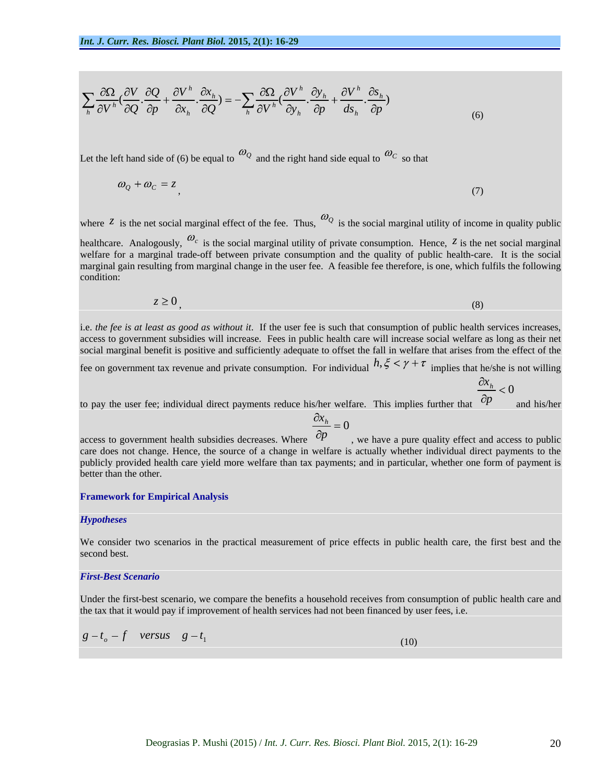$$
\sum_{h} \frac{\partial \Omega}{\partial V^h} \left( \frac{\partial V}{\partial Q} \cdot \frac{\partial Q}{\partial p} + \frac{\partial V^h}{\partial x_h} \cdot \frac{\partial x_h}{\partial Q} \right) = -\sum_{h} \frac{\partial \Omega}{\partial V^h} \left( \frac{\partial V^h}{\partial y_h} \cdot \frac{\partial y_h}{\partial p} + \frac{\partial V^h}{\partial s_h} \cdot \frac{\partial s_h}{\partial p} \right) \tag{6}
$$

Let the left hand side of (6) be equal to  $\omega_0$  and the right hand side equal to  $\omega_c$  so that

$$
\omega_Q + \omega_C = z \tag{7}
$$

where  $\zeta$  is the net social marginal effect of the fee. Thus,  $\omega_{\mathcal{Q}}$  is the social marginal utility of income in quality public healthcare. Analogously,  $\omega_c$  is the social marginal utility of private consumption. Hence,  $z$  is the net social marginal welfare for a marginal trade-off between private consumption and the quality of public health-care. It is the social marginal gain resulting from marginal change in the user fee. A feasible fee therefore, is one, which fulfils the following condition: **condition: condition: condition: condition: condition: condition: condition:** 

$$
z \ge 0\tag{8}
$$

i.e. *the fee is at least as good as without it*. If the user fee is such that consumption of public health services increases, access to government subsidies will increase. Fees in public health care will increase social welfare as long as their net social marginal benefit is positive and sufficiently adequate to offset the fall in welfare that arises from the effect of the

fee on government tax revenue and private consumption. For individual  $h, \xi < \gamma + \tau$  implies that he/she is not willing

$$
\frac{x_h}{2} < 0
$$

to pay the user fee; individual direct payments reduce his/her welfare. This implies further that  $\partial p$  and his/her p and his/her and his/her

$$
\frac{\partial x_h}{\partial n} = 0
$$

access to government health subsidies decreases. Where  $^{CP}$ p
b we have a pure quality effect and access to public care does not change. Hence, the source of a change in welfare is actually whether individual direct payments to the publicly provided health care yield more welfare than tax payments; and in particular, whether one form of payment is better than the other.

#### **Framework for Empirical Analysis**

#### *Hypotheses*

We consider two scenarios in the practical measurement of price effects in public health care, the first best and the second best. The second best control of the second best control of the second best. The second best.

#### *First-Best Scenario*

Under the first-best scenario, we compare the benefits a household receives from consumption of public health care and the tax that it would pay if improvement of health services had not been financed by user fees, i.e.

$$
g - t_o - f \quad versus \quad g - t_1 \tag{10}
$$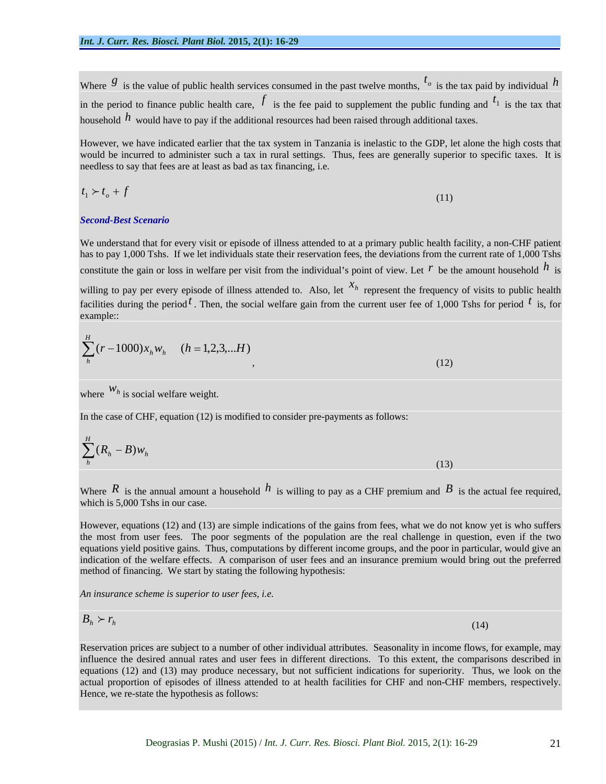Where  $\mathcal{S}$  is the value of public health services consumed in the past twelve months,  $t_o$  is the tax paid by individual  $h$ is the tax paid by individual *h* in the period to finance public health care,  $f$  is the fee paid to supplement the public funding and  $t_1$  is the tax that  $t_1$  is the tax that is the tax that household *h* would have to pay if the additional resources had been raised through additional taxes.

However, we have indicated earlier that the tax system in Tanzania is inelastic to the GDP, let alone the high costs that would be incurred to administer such a tax in rural settings. Thus, fees are generally superior to specific taxes. It is needless to say that fees are at least as bad as tax financing, i.e.

$$
t_1 \succ t_o + f \tag{11}
$$

#### *Second-Best Scenario*

We understand that for every visit or episode of illness attended to at a primary public health facility, a non-CHF patient has to pay 1,000 Tshs. If we let individuals state their reservation fees, the deviations from the current rate of 1,000 Tshs constitute the gain or loss in welfare per visit from the individual's point of view. Let  $r$  be the amount household  $h$  is *h* is

willing to pay per every episode of illness attended to. Also, let  $x<sub>h</sub>$  represent the frequency of visits to public health facilities during the period  $<sup>t</sup>$ . Then, the social welfare gain from the current user fee of 1,000 Tshs for period  $<sup>t</sup>$  is, for</sup></sup>  $t_{\rm is, for}$ is, for example::

$$
\sum_{h}^{H} (r - 1000)x_{h}w_{h} \quad (h = 1, 2, 3, \dots H)
$$
\n(12)

where  $W_h$  is social welfare weight. where  $W_h$  is social welfare weight.

In the case of CHF, equation (12) is modified to consider pre-payments as follows:

$$
\sum_{h}^{H} (R_h - B) w_h \tag{13}
$$

Where  $R$  is the annual amount a household  $h$  is willing to pay as a CHF premium and  $B$  is the actual fee required, which is 5,000 Tshs in our case.

However, equations (12) and (13) are simple indications of the gains from fees, what we do not know yet is who suffers the most from user fees. The poor segments of the population are the real challenge in question, even if the two equations yield positive gains. Thus, computations by different income groups, and the poor in particular, would give an indication of the welfare effects. A comparison of user fees and an insurance premium would bring out the preferred method of financing. We start by stating the following hypothesis:

*An insurance scheme is superior to user fees, i.e.*

$$
B_h \succ r_h \tag{14}
$$

Reservation prices are subject to a number of other individual attributes. Seasonality in income flows, for example, may influence the desired annual rates and user fees in different directions. To this extent, the comparisons described in equations (12) and (13) may produce necessary, but not sufficient indications for superiority. Thus, we look on the actual proportion of episodes of illness attended to at health facilities for CHF and non-CHF members, respectively. Hence, we re-state the hypothesis as follows: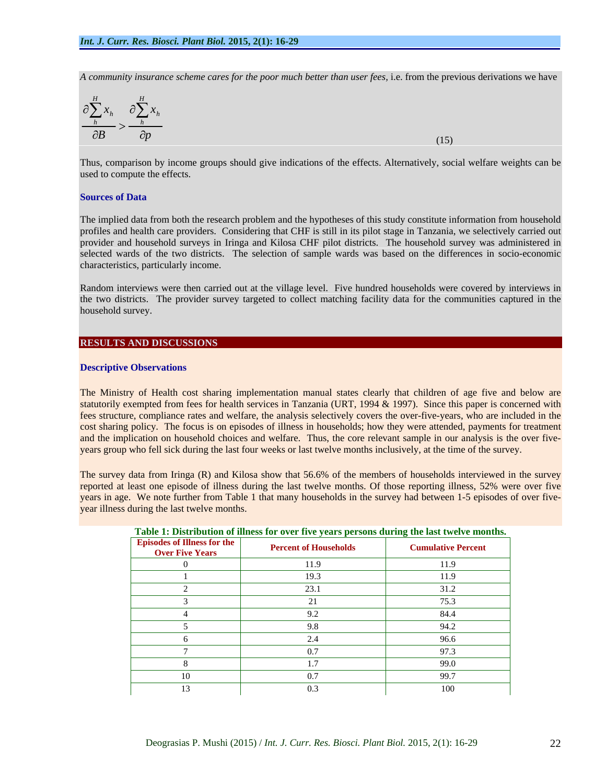*A community insurance scheme cares for the poor much better than user fees,* i.e. from the previous derivations we have

$$
\frac{\partial \sum_{h}^{H} x_{h}}{\partial B} > \frac{\partial \sum_{h}^{H} x_{h}}{\partial p} \tag{15}
$$

Thus, comparison by income groups should give indications of the effects. Alternatively, social welfare weights can be used to compute the effects.

#### **Sources of Data**

The implied data from both the research problem and the hypotheses of this study constitute information from household profiles and health care providers. Considering that CHF is still in its pilot stage in Tanzania, we selectively carried out provider and household surveys in Iringa and Kilosa CHF pilot districts. The household survey was administered in selected wards of the two districts. The selection of sample wards was based on the differences in socio-economic characteristics, particularly income.

Random interviews were then carried out at the village level. Five hundred households were covered by interviews in the two districts. The provider survey targeted to collect matching facility data for the communities captured in the household survey.

#### **RESULTS AND DISCUSSIONS**

#### **Descriptive Observations**

The Ministry of Health cost sharing implementation manual states clearly that children of age five and below are statutorily exempted from fees for health services in Tanzania (URT, 1994 & 1997). Since this paper is concerned with fees structure, compliance rates and welfare, the analysis selectively covers the over-five-years, who are included in the cost sharing policy. The focus is on episodes of illness in households; how they were attended, payments for treatment and the implication on household choices and welfare. Thus, the core relevant sample in our analysis is the over five years group who fell sick during the last four weeks or last twelve months inclusively, at the time of the survey.

The survey data from Iringa (R) and Kilosa show that 56.6% of the members of households interviewed in the survey reported at least one episode of illness during the last twelve months. Of those reporting illness, 52% were over five years in age. We note further from Table 1 that many households in the survey had between 1-5 episodes of over five year illness during the last twelve months.

| <b>Percent of Households</b> | <b>Cumulative Percent</b>                                                                                                                      |
|------------------------------|------------------------------------------------------------------------------------------------------------------------------------------------|
| 11.9                         | 11.9                                                                                                                                           |
| 19.3                         | 11.9                                                                                                                                           |
| 23.1                         | 31.2                                                                                                                                           |
|                              | 75.3                                                                                                                                           |
| 9.2                          | 84.4                                                                                                                                           |
| 9.8                          | 94.2                                                                                                                                           |
|                              | 96.6                                                                                                                                           |
| 0.7                          | 97.3                                                                                                                                           |
|                              | 99.0                                                                                                                                           |
| 0.7                          | 99.7                                                                                                                                           |
| 0.3                          | 100                                                                                                                                            |
|                              | <u><b>Table 1: Distribution of limess for over five years persons during the last twelve months.</b></u><br><b>Episodes of Illness for the</b> |

#### **Table 1: Distribution of illness for over five years persons during the last twelve months.**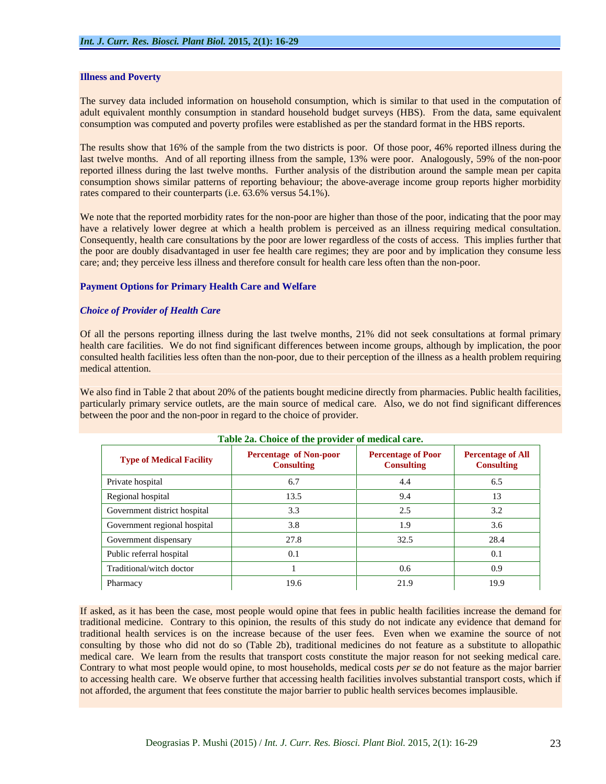#### **Illness and Poverty**

The survey data included information on household consumption, which is similar to that used in the computation of adult equivalent monthly consumption in standard household budget surveys (HBS). From the data, same equivalent consumption was computed and poverty profiles were established as per the standard format in the HBS reports.

The results show that 16% of the sample from the two districts is poor. Of those poor, 46% reported illness during the last twelve months. And of all reporting illness from the sample, 13% were poor. Analogously, 59% of the non-poor reported illness during the last twelve months. Further analysis of the distribution around the sample mean per capita consumption shows similar patterns of reporting behaviour; the above-average income group reports higher morbidity rates compared to their counterparts (i.e. 63.6% versus 54.1%).

We note that the reported morbidity rates for the non-poor are higher than those of the poor, indicating that the poor may have a relatively lower degree at which a health problem is perceived as an illness requiring medical consultation. Consequently, health care consultations by the poor are lower regardless of the costs of access. This implies further that the poor are doubly disadvantaged in user fee health care regimes; they are poor and by implication they consume less care; and; they perceive less illness and therefore consult for health care less often than the non-poor.

#### **Payment Options for Primary Health Care and Welfare**

#### *Choice of Provider of Health Care*

Of all the persons reporting illness during the last twelve months, 21% did not seek consultations at formal primary health care facilities. We do not find significant differences between income groups, although by implication, the poor consulted health facilities less often than the non-poor, due to their perception of the illness as a health problem requiring medical attention.

We also find in Table 2 that about 20% of the patients bought medicine directly from pharmacies. Public health facilities, particularly primary service outlets, are the main source of medical care. Also, we do not find significant differences between the poor and the non-poor in regard to the choice of provider.

|                                 | <b>Table 2a.</b> Choice of the provider of medical care. |                                                |                                               |
|---------------------------------|----------------------------------------------------------|------------------------------------------------|-----------------------------------------------|
| <b>Type of Medical Facility</b> | <b>Percentage of Non-poor</b><br><b>Consulting</b>       | <b>Percentage of Poor</b><br><b>Consulting</b> | <b>Percentage of All</b><br><b>Consulting</b> |
| Private hospital                |                                                          | 4.4                                            | 6.5                                           |
| Regional hospital               | 13.5                                                     | 9.4                                            | 13                                            |
| Government district hospital    |                                                          | 2.5                                            | 3.2                                           |
| Government regional hospital    |                                                          | 1.9                                            | 3.6                                           |
| Government dispensary           | 27.8                                                     | 32.5                                           | 28.4                                          |
| Public referral hospital        |                                                          |                                                | 0.1                                           |
| Traditional/witch doctor        |                                                          | $0.6\,$                                        | 0.9                                           |
| Pharmacy                        | 19.6                                                     | 21.9                                           | 19.9                                          |

#### **Table 2a. Choice of the provider of medical care.**

If asked, as it has been the case, most people would opine that fees in public health facilities increase the demand for traditional medicine. Contrary to this opinion, the results of this study do not indicate any evidence that demand for traditional health services is on the increase because of the user fees. Even when we examine the source of not consulting by those who did not do so (Table 2b), traditional medicines do not feature as a substitute to allopathic medical care. We learn from the results that transport costs constitute the major reason for not seeking medical care. Contrary to what most people would opine, to most households, medical costs *per se* do not feature as the major barrier to accessing health care. We observe further that accessing health facilities involves substantial transport costs, which if not afforded, the argument that fees constitute the major barrier to public health services becomes implausible.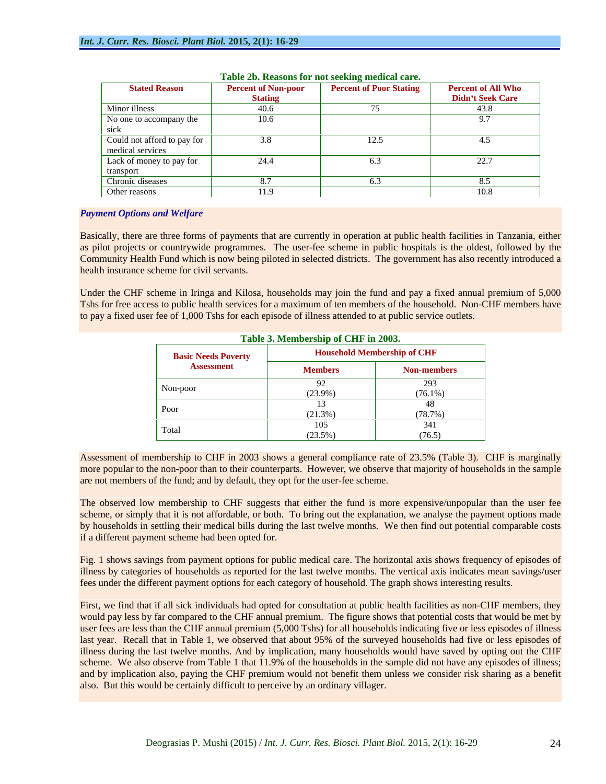| <b>Stated Reason</b>        | <b>Percent of Non-poor</b> | <b>Percent of Poor Stating</b> | <b>Percent of All Who</b> |
|-----------------------------|----------------------------|--------------------------------|---------------------------|
|                             | <b>Stating</b>             |                                | <b>Didn't Seek Care</b>   |
| Minor illness               | 40.6                       |                                | 43.8                      |
| No one to accompany the     | 10.6                       |                                |                           |
| sick                        |                            |                                |                           |
| Could not afford to pay for | 3.8                        | 12.5                           | 4.5                       |
| medical services            |                            |                                |                           |
| Lack of money to pay for    | 24.4                       |                                | 22.7                      |
| transport                   |                            |                                |                           |
| Chronic diseases            |                            |                                |                           |
| Other reasons               | 11.9                       |                                | 10.8                      |

#### **Table 2b. Reasons for not seeking medical care.**

#### *Payment Options and Welfare*

Basically, there are three forms of payments that are currently in operation at public health facilities in Tanzania, either as pilot projects or countrywide programmes. The user-fee scheme in public hospitals is the oldest, followed by the Community Health Fund which is now being piloted in selected districts. The government has also recently introduced a health insurance scheme for civil servants.

Under the CHF scheme in Iringa and Kilosa, households may join the fund and pay a fixed annual premium of 5,000 Tshs for free access to public health services for a maximum of ten members of the household. Non-CHF members have to pay a fixed user fee of 1,000 Tshs for each episode of illness attended to at public service outlets.

|                            | Table 3. Membership of CHF in 2003. |                                    |  |
|----------------------------|-------------------------------------|------------------------------------|--|
| <b>Basic Needs Poverty</b> |                                     | <b>Household Membership of CHF</b> |  |
| <b>Assessment</b>          | <b>Members</b>                      | <b>Non-members</b>                 |  |
| Non-poor                   |                                     | 293                                |  |
|                            | $(23.9\%)$                          | $(76.1\%)$                         |  |
|                            |                                     |                                    |  |
| Poor                       | (21.3%)                             | (78.7%)                            |  |
| Total                      | 105                                 | 341                                |  |
|                            | (23.5%)                             | (76.5)                             |  |

Assessment of membership to CHF in 2003 shows a general compliance rate of 23.5% (Table 3). CHF is marginally more popular to the non-poor than to their counterparts. However, we observe that majority of households in the sample are not members of the fund; and by default, they opt for the user-fee scheme.

The observed low membership to CHF suggests that either the fund is more expensive/unpopular than the user fee scheme, or simply that it is not affordable, or both. To bring out the explanation, we analyse the payment options made by households in settling their medical bills during the last twelve months. We then find out potential comparable costs if a different payment scheme had been opted for.

Fig. 1 shows savings from payment options for public medical care. The horizontal axis shows frequency of episodes of illness by categories of households as reported for the last twelve months. The vertical axis indicates mean savings/user fees under the different payment options for each category of household. The graph shows interesting results.

First, we find that if all sick individuals had opted for consultation at public health facilities as non-CHF members, they would pay less by far compared to the CHF annual premium. The figure shows that potential costs that would be met by user fees are less than the CHF annual premium (5,000 Tshs) for all households indicating five or less episodes of illness last year. Recall that in Table 1, we observed that about 95% of the surveyed households had five or less episodes of illness during the last twelve months. And by implication, many households would have saved by opting out the CHF scheme. We also observe from Table 1 that 11.9% of the households in the sample did not have any episodes of illness; and by implication also, paying the CHF premium would not benefit them unless weconsider risk sharing as a benefit also. But this would be certainly difficult to perceive by an ordinary villager.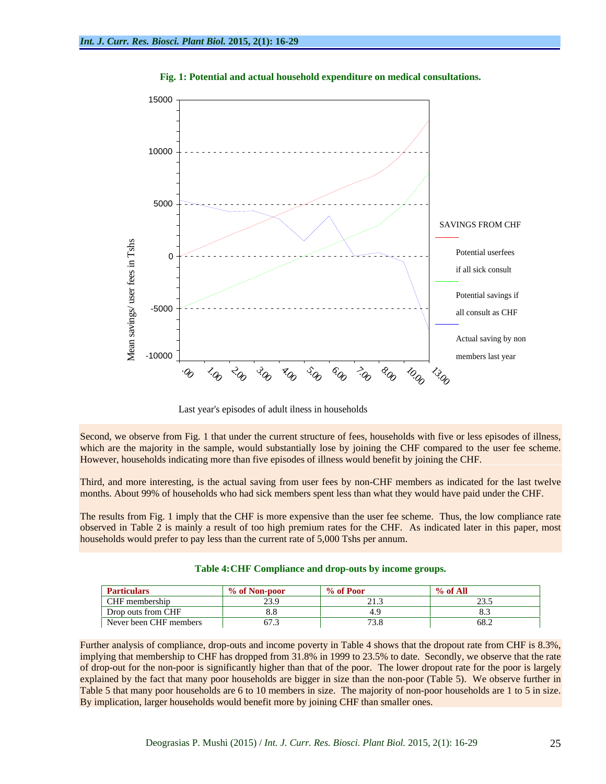

**Fig. 1: Potential and actual household expenditure on medical consultations.**

Last year's episodes of adult ilness in households

Second, we observe from Fig. 1 that under the current structure of fees, households with five or less episodes of illness, which are the majority in the sample, would substantially lose by joining the CHF compared to the user fee scheme. However, households indicating more than five episodes of illness would benefit by joining the CHF.

Third, and more interesting, is the actual saving from user fees by non-CHF members as indicated for the last twelve months. About 99% of households who had sick members spent less than what they would have paid under the CHF.

The results from Fig. 1 imply that the CHF is more expensive than the user fee scheme. Thus, the low compliance rate observed in Table 2 is mainly a result of too high premium rates for theCHF. As indicated later in this paper, most households would prefer to pay less than the current rate of 5,000 Tshs per annum.

| <b>Particulars</b>     | % of Non-poor  | % of Poor                | % of All                            |
|------------------------|----------------|--------------------------|-------------------------------------|
| CHF membership         |                | $\sim$ $\sim$<br>ن د د ت | $\overline{\phantom{m}}\phantom{m}$ |
| Drop outs from CHF     |                |                          |                                     |
| Never been CHF members | $\sim$<br>$-1$ | $\sim$ $\sim$<br>1.0.0   | $UU \cdot \mathcal{L}$              |

| <b>Table 4: CHF</b><br>$\mathbf{r}$<br>hx<br>Miance<br>outs<br>and<br>groups.<br><b>comp</b><br>l drop-c<br>mcome<br>s valde s |  |
|--------------------------------------------------------------------------------------------------------------------------------|--|
|                                                                                                                                |  |

Further analysis of compliance, drop-outs and income poverty in Table 4 shows that the dropout rate from CHF is 8.3%, implying that membership to CHF has dropped from 31.8% in 1999 to 23.5% to date. Secondly, we observe that the rate of drop-out for the non-poor is significantly higher than that of the poor. The lower dropout rate for the poor is largely explained by the fact that many poor households are bigger in size than the non-poor (Table 5). We observe further in Table 5 that many poor households are 6 to 10 members in size. The majority of non-poor households are 1 to 5 in size. By implication, larger households would benefit more by joining CHF than smaller ones.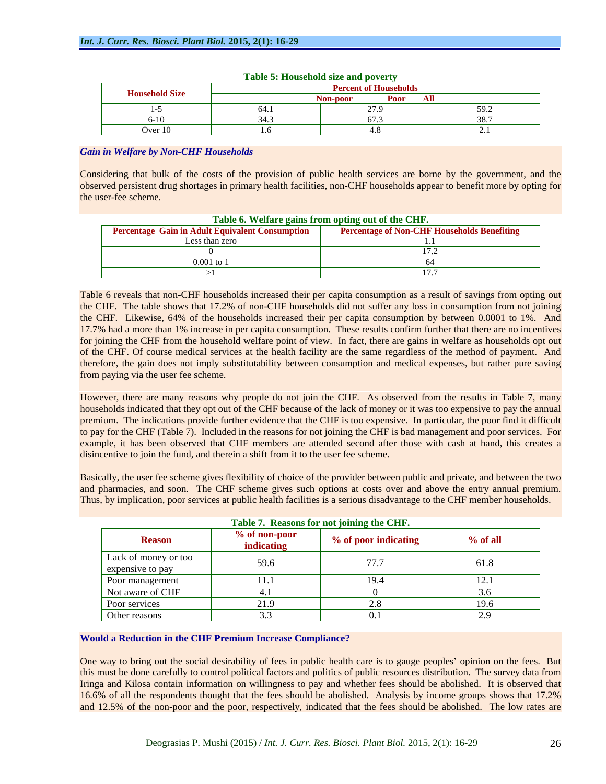| <b>Ousebold Size</b> |               | <b>vt</b> of Households     |            |
|----------------------|---------------|-----------------------------|------------|
|                      |               | ---<br>-noor<br>$\sim$ 0.04 |            |
| $\sim$               | $\sim$ $\sim$ |                             | --<br>J).L |
| $6 - 10$             | $\sim$ $\sim$ |                             |            |
| Over 10              |               |                             |            |

#### **Table 5: Household size and poverty**

# *Gain in Welfare by Non-CHF Households*

from paying via the user fee scheme.

Considering that bulk of the costs of the provision of public health services are borne by the government, and the observed persistent drug shortages in primary health facilities, non-CHF households appear to benefit more by opting for the user-fee scheme.

|                                                        | Table 6. Welfare gains from opting out of the CHF. |
|--------------------------------------------------------|----------------------------------------------------|
| <b>Percentage Gain in Adult Equivalent Consumption</b> | <b>Percentage of Non-CHF Households Benefiting</b> |
| Less than zero                                         |                                                    |
|                                                        |                                                    |
| $0.001$ to                                             |                                                    |
|                                                        |                                                    |

# Table 6 reveals that non-CHF households increased their per capita consumption as a result of savings from opting out the CHF. The table shows that 17.2% of non-CHF households did not suffer any loss in consumption from not joining the CHF. Likewise, 64% of the households increased their per capita consumption by between 0.0001 to 1%. And 17.7% had a more than 1% increase in per capita consumption. These results confirm further that there are no incentives for joining the CHF from the household welfare point of view. In fact, there are gains in welfare as households opt out of the CHF. Of course medical services at the health facility are the same regardless of the method of payment. And therefore, the gain does not imply substitutability between consumption and medical expenses, but rather pure saving

However, there are many reasons why people do not join the CHF. As observed from the results in Table 7, many households indicated that they opt out of the CHF because of the lack of money or it was too expensive to pay the annual premium. The indications provide further evidence that the CHF is too expensive. In particular, the poor find it difficult to pay for the CHF (Table 7). Included in the reasons for not joining the CHF is bad management and poor services. For example, it has been observed that CHF members are attended second after those with cash at hand, this creates a disincentive to join the fund, and therein a shift from it to the user fee scheme.

Basically, the user fee scheme gives flexibility of choice of the provider between public and private, and between the two and pharmacies, and soon. The CHF scheme gives such options at costs over and above the entry annual premium. Thus, by implication, poor services at public health facilities is a serious disadvantage to the CHF member households.

|                                          |                             | Table 7. Reasons for not joining the CHF. |          |
|------------------------------------------|-----------------------------|-------------------------------------------|----------|
| <b>Reason</b>                            | % of non-poor<br>indicating | % of poor indicating                      | % of all |
| Lack of money or too<br>expensive to pay | 59.6                        | 77.7                                      | 61.8     |
| Poor management                          | 11.1                        | 19.4                                      | 12.1     |
| Not aware of CHF                         |                             |                                           |          |
| Poor services                            | 21.9                        |                                           | 19.6     |
| Other reasons                            |                             |                                           |          |

### **Would a Reduction in the CHF Premium Increase Compliance?**

One way to bring out the social desirability of fees in public health care is to gauge peoples' opinion on the fees. But this must be done carefully to control political factors and politics of public resources distribution. The survey data from Iringa and Kilosa contain information on willingness to pay and whether fees should be abolished. It is observed that 16.6% of all the respondents thought that the fees should be abolished. Analysis by income groups shows that 17.2% and 12.5% of the non-poor and the poor, respectively, indicated that the fees should be abolished. The low rates are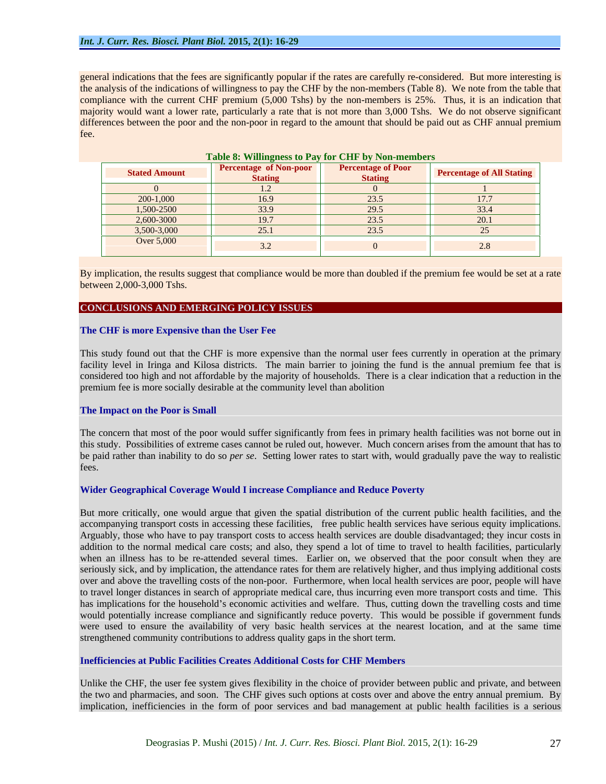general indications that the fees are significantly popular if the rates are carefully re-considered. But more interesting is the analysis of the indications of willingness to pay the CHF by the non-members (Table 8). We note from the table that compliance with the current CHF premium (5,000 Tshs) by the non-members is 25%. Thus, it is an indication that majority would want a lower rate, particularly a rate that is not more than 3,000 Tshs. We do not observe significant differences between the poor and the non-poor in regard to the amount that should be paid out as CHF annual premium fee. The contract of the contract of the contract of the contract of the contract of the contract of the contract of

|                      | <b>Lable 0. WHILIPERESS to Lay TOL CITE Dy TWIPHRIHOUTS</b> |                                             |                                  |
|----------------------|-------------------------------------------------------------|---------------------------------------------|----------------------------------|
| <b>Stated Amount</b> | <b>Percentage of Non-poor</b><br><b>Stating</b>             | <b>Percentage of Poor</b><br><b>Stating</b> | <b>Percentage of All Stating</b> |
|                      | $\mathbf{1} \cdot \mathbf{1}$                               |                                             |                                  |
| 200-1,000            | 16.9                                                        | 23.5                                        | 17.7                             |
| 1,500-2500           | 33.9                                                        | 29.5                                        | 33.4                             |
| 2,600-3000           | 19.7                                                        | 23.5                                        | 20.1                             |
| 3,500-3,000          | 25.1                                                        | 23.5                                        |                                  |
| Over 5,000           |                                                             |                                             |                                  |
|                      |                                                             |                                             |                                  |

# Table 8: Willingness to Pay for CHF by Non-me

By implication, the results suggest that compliance would be more than doubled if the premium fee would be set at a rate between 2,000-3,000 Tshs.

#### **CONCLUSIONS AND EMERGING POLICY ISSUES**

#### **The CHF is more Expensive than the User Fee**

This study found out that the CHF is more expensive than the normal user fees currently in operation at the primary facility level in Iringa and Kilosa districts. The main barrier to joining the fund is the annual premium fee that is considered too high and not affordable by the majority of households. There is a clear indication that a reduction in the premium fee is more socially desirable at the community level than abolition

#### **The Impact on the Poor is Small**

The concern that most of the poor would suffer significantly from fees in primary health facilities was not borne out in this study. Possibilities of extreme cases cannot be ruled out, however. Much concern arises from the amount that has to be paid rather than inability to do so *per se*. Setting lower rates to start with, would gradually pave the way to realistic fees. The contract of the contract of the contract of the contract of the contract of the contract of the contract of the contract of the contract of the contract of the contract of the contract of the contract of the cont

#### **Wider Geographical Coverage Would I increase Compliance and Reduce Poverty**

But more critically, one would argue that given the spatial distribution of the current public health facilities, and the accompanying transport costs in accessing these facilities, free public health services have serious equity implications. Arguably, those who have to pay transport costs to access health services are double disadvantaged; they incur costs in addition to the normal medical care costs; and also, they spend a lot of time to travel to health facilities, particularly when an illness has to be re-attended several times. Earlier on, we observed that the poor consult when they are seriously sick, and by implication, the attendance rates for them are relatively higher, and thus implying additional costs over and above the travelling costs of the non-poor. Furthermore, when local health services are poor, people will have to travel longer distances in search of appropriate medical care, thus incurring even more transport costs and time. This has implications for the household's economic activities and welfare. Thus, cutting down the travelling costs and time would potentially increase compliance and significantly reduce poverty. This would be possible if government funds were used to ensure the availability of very basic health services at the nearest location, and at the same time strengthened community contributions to address quality gaps in the short term.

#### **Inefficiencies at Public Facilities Creates Additional Costs for CHF Members**

Unlike the CHF, the user fee system gives flexibility in the choice of provider between public and private, and between the two and pharmacies, and soon. The CHF gives such options at costs over and above the entry annual premium. By implication, inefficiencies in the form of poor services and bad management at public health facilities is a serious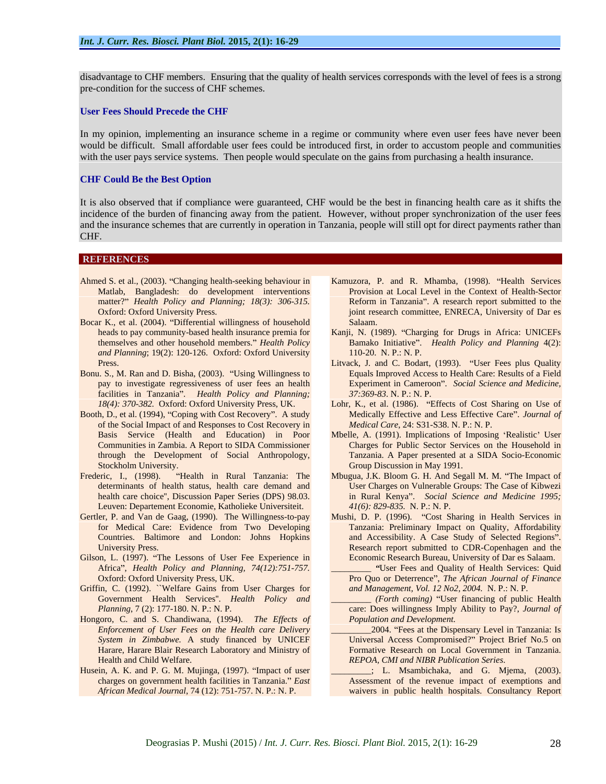disadvantage to CHF members. Ensuring that the quality of health services corresponds with the level of fees is a strong pre-condition for the success of CHF schemes.

#### **User Fees Should Precede the CHF**

In my opinion, implementing an insurance scheme in a regime or community where even user fees have never been would be difficult. Small affordable user fees could be introduced first, in order to accustom people and communities with the user pays service systems. Then people would speculate on the gains from purchasing a health insurance.

#### **CHF Could Be the Best Option**

It is also observed that if compliance were guaranteed, CHF would be the best in financing health care as it shifts the incidence of the burden of financing away from the patient. However, without proper synchronization of the user fees and the insurance schemes that are currently in operation in Tanzania, people will still opt for direct payments rather than **CHF.** The contract of the contract of the contract of the contract of the contract of the contract of the contract of the contract of the contract of the contract of the contract of the contract of the contract of the con

#### **REFERENCES** *CONSTRUCTER AND INTERFERENCES*

- Ahmed S. et al., (2003). "Changing health-seeking behaviour in Matlab, Bangladesh: do development interventions matter?" Health Policy and Planning; 18(3): 306-315.
- Bocar K., et al. (2004). "Differential willingness of household Salaam. heads to pay community-based health insurance premia for Kanji, N. (1989). "Charging for Drugs in Africa: UNICEFs *and Planning*; 19(2): 120-126. Oxford: Oxford University
- Bonu. S., M. Ran and D. Bisha, (2003). "Using Willingness to facilities in Tanzania". Health Policy and Planning;
- Booth, D., et al. (1994), "Coping with Cost Recovery". A study of the Social Impact of and Responses to Cost Recovery in<br>Basis Service (Health and Education) in Poor
- Leuven: Departement Economie, Katholieke Universiteit.
- Gertler, P. and Van de Gaag, (1990). The Willingness-to-pay Mushi, D. P. (1996). "Cost Sharing in Health Services in Countries. Baltimore and London: Johns Hopkins
- Gilson, L. (1997). "The Lessons of User Fee Experience in Africa , *Health Policy and Planning, 74(12):751-757.*
- Griffin, C. (1992). ``Welfare Gains from User Charges for Government Health Services''. *Health Policy and*
- Hongoro, C. and S. Chandiwana, (1994). *The Effects of Enforcement of User Fees on the Health care Delivery*
- Husein, A. K. and P. G. M. Mujinga, (1997). "Impact of user
- matter?" *Health Policy and Planning; 18(3): 306-315*. Reform in Tanzania". A research report submitted to the oxford: Oxford University Press. Coxford University Press. Kamuzora, P. and R. Mhamba, (1998). "Health Services Provision at Local Level in the Context of Health-Sector Reform in Tanzania". A research report submitted to the joint research committee, ENRECA, University of Dar es Salaam. And a strong state of the strong state of the strong state of the strong state of the strong state of the strong state of the strong state of the strong state of the strong state of the strong state of the strong s
- themselves and other household members. *Health Policy* Bamako Initiative . *Health Policy and Planning* 4(2): 110-20. N. P.: N. P.
- Press. The contract of the contract of the contract of the Litvack, J. and C. Bodart, (1993). "User Fees plus Quality pay to investigate regressiveness of user fees an health Experiment in Cameroon .*Social Science and Medicine,* Equals Improved Access to Health Care: Results of a Field *37:369-83*. N. P.: N. P.
- *18(4): 370-382.* Oxford: Oxford University Press, UK. Lohr, K., et al. (1986). Effects of Cost Sharing on Use of Medically Effective and Less Effective Care". Journal of *Medical Care*, 24: S31-S38. N. P.: N. P.
- Mbelle, A. (1991). Implications of Imposing 'Realistic' User Communities in Zambia. A Report to SIDA Commissioner through the Development of Social Anthropology, Tanzania. A Paper presented at a SIDA Socio-Economic Stockholm University. Group Discussion in May 1991. Mbelle, A. (1991). Implications of Imposing 'Realistic' User Charges for Public Sector Services on the Household in
- Frederic, I., (1998). "Health in Rural Tanzania: The Mbugua, J.K. Bloom G. H. And Segall M. M. "The Impact of determinants of health status, health care demand and User Charges on Vulnerable Groups: The Case of Kibwezi health care choice'', Discussion Paper Series (DPS) 98.03. in Rural Kenya . *Social Science and Medicine 1995; 41(6): 829-835.* N. P.: N. P.
	- for Medical Care: Evidence from Two Developing Tanzania: Preliminary Impact on Quality, Affordability University Press. Research report submitted to CDR-Copenhagen and the and Accessibility. A Case Study of Selected Regions". Economic Research Bureau, University of Dar es Salaam.
	- Oxford: Oxford University Press, UK. Pro Quo or Deterrence , *The African Journal of Finance* "User Fees and Quality of Health Services: Quid *and Management, Vol. 12 No2, 2004.* N. P.: N. P.
	- *Planning*, 7 (2): 177-180. N. P.: N. P. care: Does willingness Imply Ability to Pay?, *Journal of* \_\_\_\_\_\_\_\_\_ *(Forth coming)* User financing of public Health *Population and Development.*
	- *System in Zimbabwe.* A study financed by UNICEF Harare, Harare Blair Research Laboratory and Ministry of Formative Research on Local Government in Tanzania. Health and Child Welfare. *REPOA, CMI and NIBR Publication Series*. \_\_\_\_\_\_\_\_\_2004. Fees at the Dispensary Level in Tanzania: Is Universal Access Compromised?" Project Brief No.5 on<br>Formative Research on Local Government in Tanzania.
	- charges on government health facilities in Tanzania. *East*  Assessment of the revenue impact of exemptions and *African Medical Journal*, 74 (12): 751-757. N. P.: N. P. waivers in public health hospitals. Consultancy Report\_\_\_\_\_\_\_\_\_; L. Msambichaka, and G. Mjema, (2003).